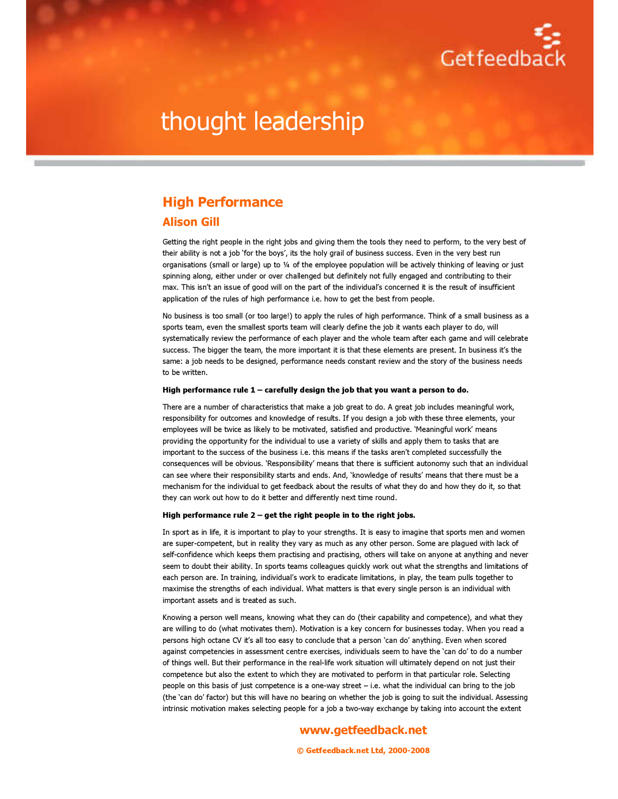

# thought leadership

# High Performance

## Alison Gill

Getting the right people in the right jobs and giving them the tools they need to perform, to the very best of their ability is not a job 'for the boys', its the holy grail of business success. Even in the very best run organisations (small or large) up to ¼ of the employee population will be actively thinking of leaving or just spinning along, either under or over challenged but definitely not fully engaged and contributing to their max. This isn't an issue of good will on the part of the individual's concerned it is the result of insufficient application of the rules of high performance i.e. how to get the best from people.

No business is too small (or too large!) to apply the rules of high performance. Think of a small business as a sports team, even the smallest sports team will clearly define the job it wants each player to do, will systematically review the performance of each player and the whole team after each game and will celebrate success. The bigger the team, the more important it is that these elements are present. In business it's the same: a job needs to be designed, performance needs constant review and the story of the business needs to be written.

### High performance rule 1 – carefully design the job that you want a person to do.

There are a number of characteristics that make a job great to do. A great job includes meaningful work, responsibility for outcomes and knowledge of results. If you design a job with these three elements, your employees will be twice as likely to be motivated, satisfied and productive. 'Meaningful work' means providing the opportunity for the individual to use a variety of skills and apply them to tasks that are important to the success of the business i.e. this means if the tasks aren't completed successfully the consequences will be obvious. 'Responsibility' means that there is sufficient autonomy such that an individual can see where their responsibility starts and ends. And, 'knowledge of results' means that there must be a mechanism for the individual to get feedback about the results of what they do and how they do it, so that they can work out how to do it better and differently next time round.

### High performance rule 2 – get the right people in to the right jobs.

In sport as in life, it is important to play to your strengths. It is easy to imagine that sports men and women are super-competent, but in reality they vary as much as any other person. Some are plagued with lack of self-confidence which keeps them practising and practising, others will take on anyone at anything and never seem to doubt their ability. In sports teams colleagues quickly work out what the strengths and limitations of each person are. In training, individual's work to eradicate limitations, in play, the team pulls together to maximise the strengths of each individual. What matters is that every single person is an individual with important assets and is treated as such.

Knowing a person well means, knowing what they can do (their capability and competence), and what they are willing to do (what motivates them). Motivation is a key concern for businesses today. When you read a persons high octane CV it's all too easy to conclude that a person 'can do' anything. Even when scored against competencies in assessment centre exercises, individuals seem to have the 'can do' to do a number of things well. But their performance in the real-life work situation will ultimately depend on not just their competence but also the extent to which they are motivated to perform in that particular role. Selecting people on this basis of just competence is a one-way street – i.e. what the individual can bring to the job (the 'can do' factor) but this will have no bearing on whether the job is going to suit the individual. Assessing intrinsic motivation makes selecting people for a job a two-way exchange by taking into account the extent

### www.getfeedback.net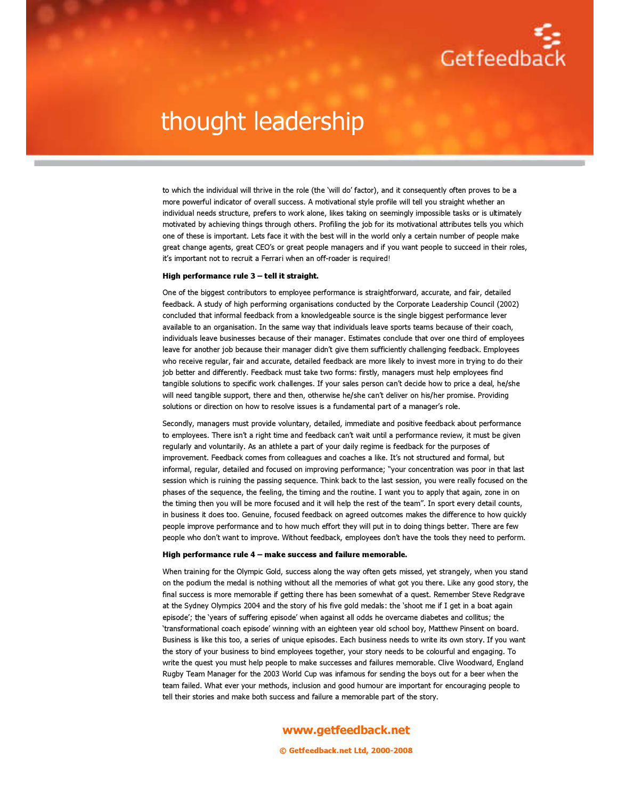

# thought leadership

to which the individual will thrive in the role (the 'will do' factor), and it consequently often proves to be a more powerful indicator of overall success. A motivational style profile will tell you straight whether an individual needs structure, prefers to work alone, likes taking on seemingly impossible tasks or is ultimately motivated by achieving things through others. Profiling the job for its motivational attributes tells you which one of these is important. Lets face it with the best will in the world only a certain number of people make great change agents, great CEO's or great people managers and if you want people to succeed in their roles, it's important not to recruit a Ferrari when an off-roader is required!

### High performance rule 3 – tell it straight.

One of the biggest contributors to employee performance is straightforward, accurate, and fair, detailed feedback. A study of high performing organisations conducted by the Corporate Leadership Council (2002) concluded that informal feedback from a knowledgeable source is the single biggest performance lever available to an organisation. In the same way that individuals leave sports teams because of their coach, individuals leave businesses because of their manager. Estimates conclude that over one third of employees leave for another job because their manager didn't give them sufficiently challenging feedback. Employees who receive regular, fair and accurate, detailed feedback are more likely to invest more in trying to do their job better and differently. Feedback must take two forms: firstly, managers must help employees find tangible solutions to specific work challenges. If your sales person can't decide how to price a deal, he/she will need tangible support, there and then, otherwise he/she can't deliver on his/her promise. Providing solutions or direction on how to resolve issues is a fundamental part of a manager's role.

Secondly, managers must provide voluntary, detailed, immediate and positive feedback about performance to employees. There isn't a right time and feedback can't wait until a performance review, it must be given regularly and voluntarily. As an athlete a part of your daily regime is feedback for the purposes of improvement. Feedback comes from colleagues and coaches a like. It's not structured and formal, but informal, regular, detailed and focused on improving performance; "your concentration was poor in that last session which is ruining the passing sequence. Think back to the last session, you were really focused on the phases of the sequence, the feeling, the timing and the routine. I want you to apply that again, zone in on the timing then you will be more focused and it will help the rest of the team". In sport every detail counts, in business it does too. Genuine, focused feedback on agreed outcomes makes the difference to how quickly people improve performance and to how much effort they will put in to doing things better. There are few people who don't want to improve. Without feedback, employees don't have the tools they need to perform.

#### High performance rule 4 – make success and failure memorable.

When training for the Olympic Gold, success along the way often gets missed, yet strangely, when you stand on the podium the medal is nothing without all the memories of what got you there. Like any good story, the final success is more memorable if getting there has been somewhat of a quest. Remember Steve Redgrave at the Sydney Olympics 2004 and the story of his five gold medals: the 'shoot me if I get in a boat again episode'; the 'years of suffering episode' when against all odds he overcame diabetes and collitus; the 'transformational coach episode' winning with an eighteen year old school boy, Matthew Pinsent on board. Business is like this too, a series of unique episodes. Each business needs to write its own story. If you want the story of your business to bind employees together, your story needs to be colourful and engaging. To write the quest you must help people to make successes and failures memorable. Clive Woodward, England Rugby Team Manager for the 2003 World Cup was infamous for sending the boys out for a beer when the team failed. What ever your methods, inclusion and good humour are important for encouraging people to tell their stories and make both success and failure a memorable part of the story.

## www.getfeedback.net